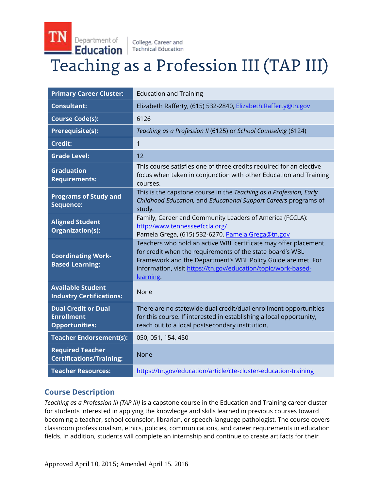College, Career and **Education Technical Education** 

TN Department of

# Teaching as a Profession III (TAP III)

| <b>Primary Career Cluster:</b>                                           | <b>Education and Training</b>                                                                                                                                                                                                                                              |
|--------------------------------------------------------------------------|----------------------------------------------------------------------------------------------------------------------------------------------------------------------------------------------------------------------------------------------------------------------------|
| <b>Consultant:</b>                                                       | Elizabeth Rafferty, (615) 532-2840, Elizabeth.Rafferty@tn.gov                                                                                                                                                                                                              |
| <b>Course Code(s):</b>                                                   | 6126                                                                                                                                                                                                                                                                       |
| Prerequisite(s):                                                         | Teaching as a Profession II (6125) or School Counseling (6124)                                                                                                                                                                                                             |
| <b>Credit:</b>                                                           | $\mathbf{1}$                                                                                                                                                                                                                                                               |
| <b>Grade Level:</b>                                                      | 12                                                                                                                                                                                                                                                                         |
| <b>Graduation</b><br><b>Requirements:</b>                                | This course satisfies one of three credits required for an elective<br>focus when taken in conjunction with other Education and Training<br>courses.                                                                                                                       |
| <b>Programs of Study and</b><br>Sequence:                                | This is the capstone course in the Teaching as a Profession, Early<br>Childhood Education, and Educational Support Careers programs of<br>study.                                                                                                                           |
| <b>Aligned Student</b><br>Organization(s):                               | Family, Career and Community Leaders of America (FCCLA):<br>http://www.tennesseefccla.org/<br>Pamela Grega, (615) 532-6270, Pamela.Grega@tn.gov                                                                                                                            |
| <b>Coordinating Work-</b><br><b>Based Learning:</b>                      | Teachers who hold an active WBL certificate may offer placement<br>for credit when the requirements of the state board's WBL<br>Framework and the Department's WBL Policy Guide are met. For<br>information, visit https://tn.gov/education/topic/work-based-<br>learning. |
| <b>Available Student</b><br><b>Industry Certifications:</b>              | None                                                                                                                                                                                                                                                                       |
| <b>Dual Credit or Dual</b><br><b>Enrollment</b><br><b>Opportunities:</b> | There are no statewide dual credit/dual enrollment opportunities<br>for this course. If interested in establishing a local opportunity,<br>reach out to a local postsecondary institution.                                                                                 |
| <b>Teacher Endorsement(s):</b>                                           | 050, 051, 154, 450                                                                                                                                                                                                                                                         |
| <b>Required Teacher</b><br><b>Certifications/Training:</b>               | None                                                                                                                                                                                                                                                                       |
| <b>Teacher Resources:</b>                                                | https://tn.gov/education/article/cte-cluster-education-training                                                                                                                                                                                                            |

# **Course Description**

*Teaching as a Profession III (TAP III)* is a capstone course in the Education and Training career cluster for students interested in applying the knowledge and skills learned in previous courses toward becoming a teacher, school counselor, librarian, or speech-language pathologist. The course covers classroom professionalism, ethics, policies, communications, and career requirements in education fields. In addition, students will complete an internship and continue to create artifacts for their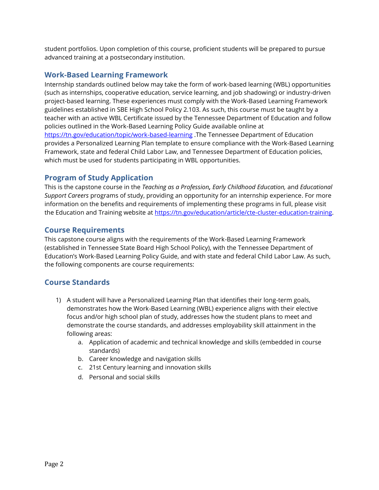student portfolios. Upon completion of this course, proficient students will be prepared to pursue advanced training at a postsecondary institution.

## **Work-Based Learning Framework**

Internship standards outlined below may take the form of work-based learning (WBL) opportunities (such as internships, cooperative education, service learning, and job shadowing) or industry-driven project-based learning. These experiences must comply with the Work-Based Learning Framework guidelines established in SBE High School Policy 2.103. As such, this course must be taught by a teacher with an active WBL Certificate issued by the Tennessee Department of Education and follow policies outlined in the Work-Based Learning Policy Guide available online at <https://tn.gov/education/topic/work-based-learning> .The Tennessee Department of Education provides a Personalized Learning Plan template to ensure compliance with the Work-Based Learning Framework, state and federal Child Labor Law, and Tennessee Department of Education policies, which must be used for students participating in WBL opportunities.

## **Program of Study Application**

This is the capstone course in the *Teaching as a Profession, Early Childhood Education,* and *Educational Support Careers* programs of study, providing an opportunity for an internship experience. For more information on the benefits and requirements of implementing these programs in full, please visit the Education and Training website at [https://tn.gov/education/article/cte-cluster-education-training.](https://tn.gov/education/article/cte-cluster-education-training)

## **Course Requirements**

This capstone course aligns with the requirements of the Work-Based Learning Framework (established in Tennessee State Board High School Policy), with the Tennessee Department of Education's Work-Based Learning Policy Guide, and with state and federal Child Labor Law. As such, the following components are course requirements:

# **Course Standards**

- 1) A student will have a Personalized Learning Plan that identifies their long-term goals, demonstrates how the Work-Based Learning (WBL) experience aligns with their elective focus and/or high school plan of study, addresses how the student plans to meet and demonstrate the course standards, and addresses employability skill attainment in the following areas:
	- a. Application of academic and technical knowledge and skills (embedded in course standards)
	- b. Career knowledge and navigation skills
	- c. 21st Century learning and innovation skills
	- d. Personal and social skills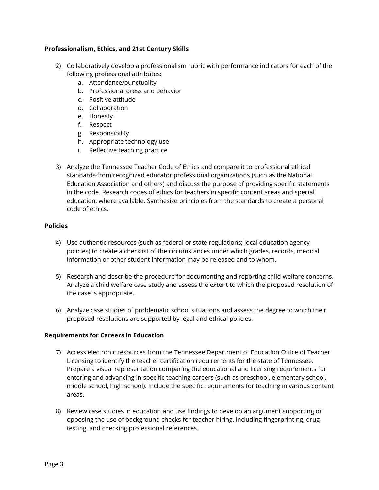#### **Professionalism, Ethics, and 21st Century Skills**

- 2) Collaboratively develop a professionalism rubric with performance indicators for each of the following professional attributes:
	- a. Attendance/punctuality
	- b. Professional dress and behavior
	- c. Positive attitude
	- d. Collaboration
	- e. Honesty
	- f. Respect
	- g. Responsibility
	- h. Appropriate technology use
	- i. Reflective teaching practice
- 3) Analyze the Tennessee Teacher Code of Ethics and compare it to professional ethical standards from recognized educator professional organizations (such as the National Education Association and others) and discuss the purpose of providing specific statements in the code. Research codes of ethics for teachers in specific content areas and special education, where available. Synthesize principles from the standards to create a personal code of ethics.

#### **Policies**

- 4) Use authentic resources (such as federal or state regulations; local education agency policies) to create a checklist of the circumstances under which grades, records, medical information or other student information may be released and to whom.
- 5) Research and describe the procedure for documenting and reporting child welfare concerns. Analyze a child welfare case study and assess the extent to which the proposed resolution of the case is appropriate.
- 6) Analyze case studies of problematic school situations and assess the degree to which their proposed resolutions are supported by legal and ethical policies.

#### **Requirements for Careers in Education**

- 7) Access electronic resources from the Tennessee Department of Education Office of Teacher Licensing to identify the teacher certification requirements for the state of Tennessee. Prepare a visual representation comparing the educational and licensing requirements for entering and advancing in specific teaching careers (such as preschool, elementary school, middle school, high school). Include the specific requirements for teaching in various content areas.
- 8) Review case studies in education and use findings to develop an argument supporting or opposing the use of background checks for teacher hiring, including fingerprinting, drug testing, and checking professional references.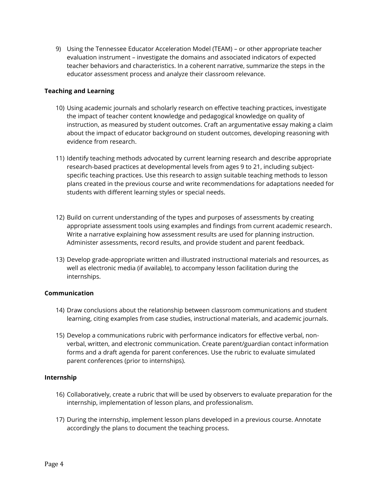9) Using the Tennessee Educator Acceleration Model (TEAM) – or other appropriate teacher evaluation instrument – investigate the domains and associated indicators of expected teacher behaviors and characteristics. In a coherent narrative, summarize the steps in the educator assessment process and analyze their classroom relevance.

#### **Teaching and Learning**

- 10) Using academic journals and scholarly research on effective teaching practices, investigate the impact of teacher content knowledge and pedagogical knowledge on quality of instruction, as measured by student outcomes. Craft an argumentative essay making a claim about the impact of educator background on student outcomes, developing reasoning with evidence from research.
- 11) Identify teaching methods advocated by current learning research and describe appropriate research-based practices at developmental levels from ages 9 to 21, including subjectspecific teaching practices. Use this research to assign suitable teaching methods to lesson plans created in the previous course and write recommendations for adaptations needed for students with different learning styles or special needs.
- 12) Build on current understanding of the types and purposes of assessments by creating appropriate assessment tools using examples and findings from current academic research. Write a narrative explaining how assessment results are used for planning instruction. Administer assessments, record results, and provide student and parent feedback.
- 13) Develop grade-appropriate written and illustrated instructional materials and resources, as well as electronic media (if available), to accompany lesson facilitation during the internships.

#### **Communication**

- 14) Draw conclusions about the relationship between classroom communications and student learning, citing examples from case studies, instructional materials, and academic journals.
- 15) Develop a communications rubric with performance indicators for effective verbal, nonverbal, written, and electronic communication. Create parent/guardian contact information forms and a draft agenda for parent conferences. Use the rubric to evaluate simulated parent conferences (prior to internships).

#### **Internship**

- 16) Collaboratively, create a rubric that will be used by observers to evaluate preparation for the internship, implementation of lesson plans, and professionalism.
- 17) During the internship, implement lesson plans developed in a previous course. Annotate accordingly the plans to document the teaching process.